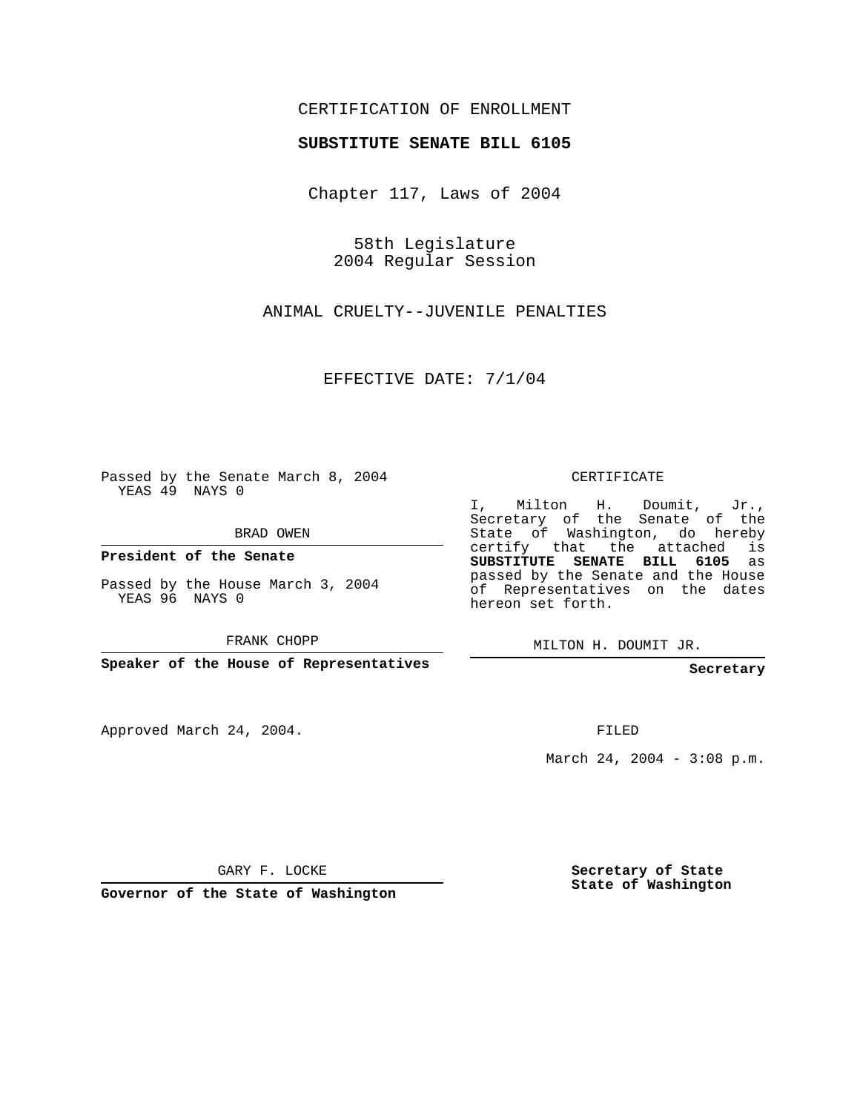#### CERTIFICATION OF ENROLLMENT

#### **SUBSTITUTE SENATE BILL 6105**

Chapter 117, Laws of 2004

58th Legislature 2004 Regular Session

ANIMAL CRUELTY--JUVENILE PENALTIES

EFFECTIVE DATE: 7/1/04

Passed by the Senate March 8, 2004 YEAS 49 NAYS 0

BRAD OWEN

**President of the Senate**

Passed by the House March 3, 2004 YEAS 96 NAYS 0

FRANK CHOPP

**Speaker of the House of Representatives**

Approved March 24, 2004.

CERTIFICATE

I, Milton H. Doumit, Jr., Secretary of the Senate of the State of Washington, do hereby certify that the attached is **SUBSTITUTE SENATE BILL 6105** as passed by the Senate and the House of Representatives on the dates hereon set forth.

MILTON H. DOUMIT JR.

**Secretary**

FILED

March 24, 2004 - 3:08 p.m.

GARY F. LOCKE

**Governor of the State of Washington**

**Secretary of State State of Washington**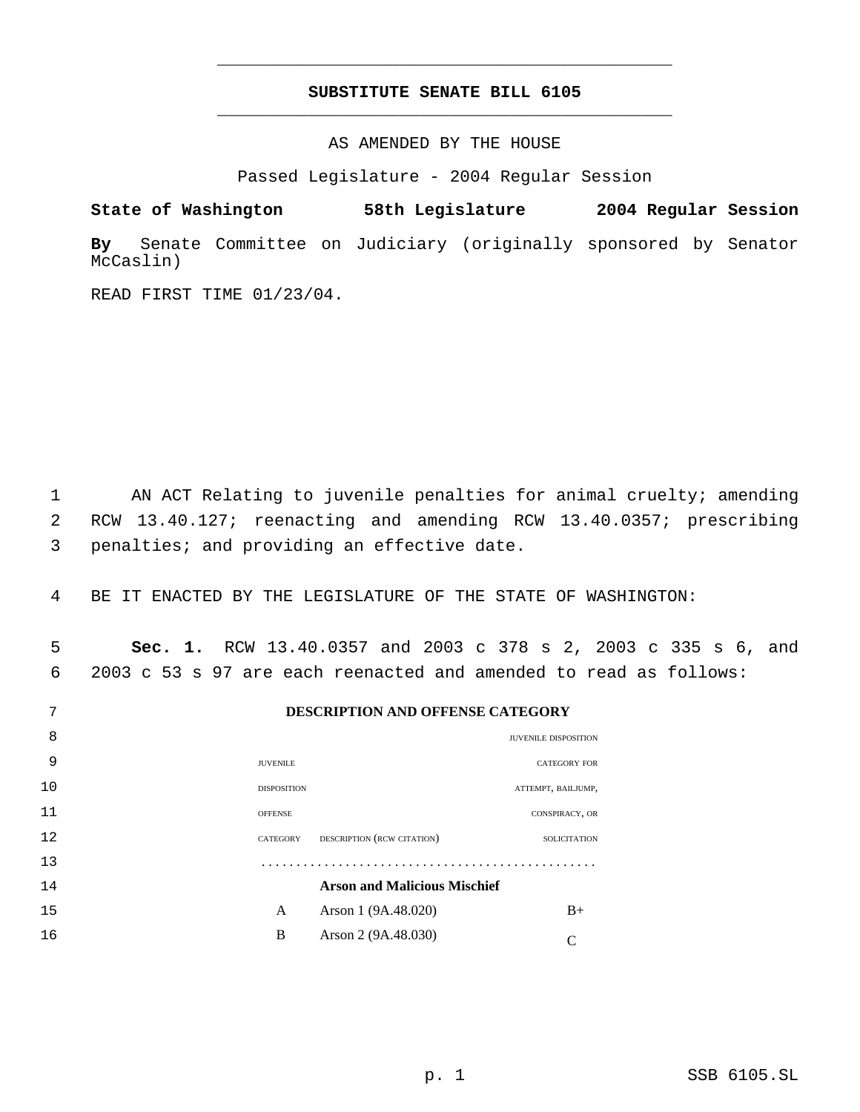### **SUBSTITUTE SENATE BILL 6105** \_\_\_\_\_\_\_\_\_\_\_\_\_\_\_\_\_\_\_\_\_\_\_\_\_\_\_\_\_\_\_\_\_\_\_\_\_\_\_\_\_\_\_\_\_

\_\_\_\_\_\_\_\_\_\_\_\_\_\_\_\_\_\_\_\_\_\_\_\_\_\_\_\_\_\_\_\_\_\_\_\_\_\_\_\_\_\_\_\_\_

AS AMENDED BY THE HOUSE

Passed Legislature - 2004 Regular Session

**State of Washington 58th Legislature 2004 Regular Session By** Senate Committee on Judiciary (originally sponsored by Senator McCaslin)

READ FIRST TIME 01/23/04.

 1 AN ACT Relating to juvenile penalties for animal cruelty; amending 2 RCW 13.40.127; reenacting and amending RCW 13.40.0357; prescribing 3 penalties; and providing an effective date.

4 BE IT ENACTED BY THE LEGISLATURE OF THE STATE OF WASHINGTON:

 5 **Sec. 1.** RCW 13.40.0357 and 2003 c 378 s 2, 2003 c 335 s 6, and 6 2003 c 53 s 97 are each reenacted and amended to read as follows:

| 7  |                 |                    | <b>DESCRIPTION AND OFFENSE CATEGORY</b> |                             |
|----|-----------------|--------------------|-----------------------------------------|-----------------------------|
| 8  |                 |                    |                                         | <b>JUVENILE DISPOSITION</b> |
| 9  | <b>JUVENILE</b> |                    |                                         | <b>CATEGORY FOR</b>         |
| 10 |                 | <b>DISPOSITION</b> |                                         | ATTEMPT, BAILJUMP,          |
| 11 | <b>OFFENSE</b>  |                    |                                         | CONSPIRACY, OR              |
| 12 | CATEGORY        |                    | DESCRIPTION (RCW CITATION)              | <b>SOLICITATION</b>         |
| 13 |                 |                    |                                         |                             |
| 14 |                 |                    | <b>Arson and Malicious Mischief</b>     |                             |
| 15 |                 | A                  | Arson 1 (9A.48.020)                     | $B+$                        |
| 16 |                 | B                  | Arson 2 (9A.48.030)                     |                             |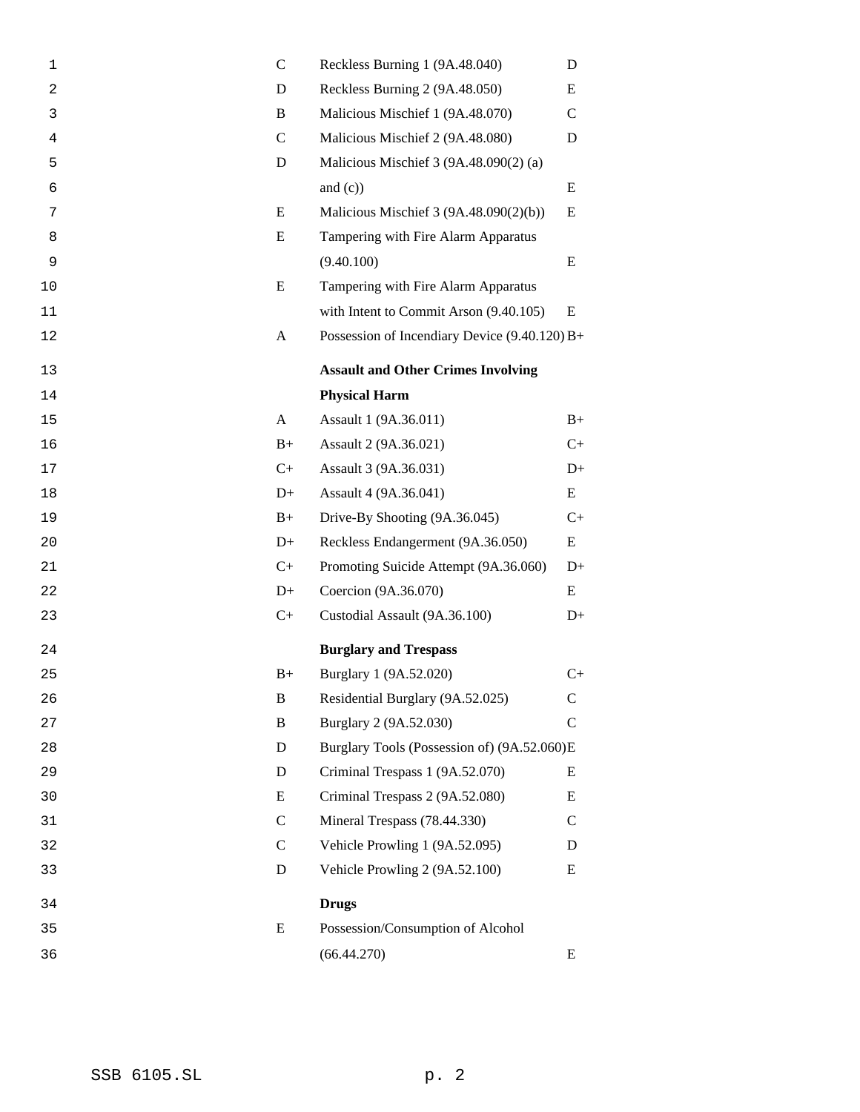| Reckless Burning 2 (9A.48.050)<br>$\overline{a}$<br>D<br>Malicious Mischief 1 (9A.48.070)<br>3<br>B<br>Malicious Mischief 2 (9A.48.080)<br>$\overline{4}$<br>C<br>Malicious Mischief 3 (9A.48.090(2) (a)<br>5<br>D<br>and $(c)$ )<br>6<br>E<br>Malicious Mischief 3 (9A.48.090(2)(b))<br>7<br>E<br>Tampering with Fire Alarm Apparatus<br>8<br>(9.40.100)<br>9<br>E<br>Tampering with Fire Alarm Apparatus<br>10<br>with Intent to Commit Arson (9.40.105)<br>11<br>Possession of Incendiary Device $(9.40.120) B+$<br>12<br>A<br><b>Assault and Other Crimes Involving</b><br>13<br><b>Physical Harm</b><br>14<br>Assault 1 (9A.36.011)<br>15<br>A<br>Assault 2 (9A.36.021)<br>$B+$<br>16<br>$C+$<br>Assault 3 (9A.36.031)<br>17<br>Assault 4 (9A.36.041)<br>$D+$<br>18<br>Drive-By Shooting (9A.36.045)<br>$B+$<br>19<br>Reckless Endangerment (9A.36.050)<br>20<br>$D+$<br>$C+$<br>Promoting Suicide Attempt (9A.36.060)<br>21<br>$D+$<br>Coercion (9A.36.070)<br>22<br>Custodial Assault (9A.36.100)<br>$C+$<br>23<br><b>Burglary and Trespass</b><br>24<br>Burglary 1 (9A.52.020)<br>25<br>$B+$<br>Residential Burglary (9A.52.025)<br>B<br>26<br>B<br>Burglary 2 (9A.52.030)<br>27<br>Burglary Tools (Possession of) (9A.52.060)E<br>D<br>28<br>D<br>Criminal Trespass 1 (9A.52.070)<br>29<br>Criminal Trespass 2 (9A.52.080)<br>E<br>30<br>$\mathsf{C}$<br>Mineral Trespass (78.44.330)<br>31<br>Vehicle Prowling 1 (9A.52.095)<br>$\mathcal{C}$<br>32<br>Vehicle Prowling 2 (9A.52.100)<br>D<br>33<br><b>Drugs</b><br>34<br>Possession/Consumption of Alcohol<br>E<br>35<br>(66.44.270)<br>36 | $\mathbf 1$ | $\mathcal{C}$ | Reckless Burning 1 (9A.48.040) | D             |
|-------------------------------------------------------------------------------------------------------------------------------------------------------------------------------------------------------------------------------------------------------------------------------------------------------------------------------------------------------------------------------------------------------------------------------------------------------------------------------------------------------------------------------------------------------------------------------------------------------------------------------------------------------------------------------------------------------------------------------------------------------------------------------------------------------------------------------------------------------------------------------------------------------------------------------------------------------------------------------------------------------------------------------------------------------------------------------------------------------------------------------------------------------------------------------------------------------------------------------------------------------------------------------------------------------------------------------------------------------------------------------------------------------------------------------------------------------------------------------------------------------------------------------------------------------------------------------------------------------|-------------|---------------|--------------------------------|---------------|
|                                                                                                                                                                                                                                                                                                                                                                                                                                                                                                                                                                                                                                                                                                                                                                                                                                                                                                                                                                                                                                                                                                                                                                                                                                                                                                                                                                                                                                                                                                                                                                                                       |             |               |                                | E             |
|                                                                                                                                                                                                                                                                                                                                                                                                                                                                                                                                                                                                                                                                                                                                                                                                                                                                                                                                                                                                                                                                                                                                                                                                                                                                                                                                                                                                                                                                                                                                                                                                       |             |               |                                | C             |
|                                                                                                                                                                                                                                                                                                                                                                                                                                                                                                                                                                                                                                                                                                                                                                                                                                                                                                                                                                                                                                                                                                                                                                                                                                                                                                                                                                                                                                                                                                                                                                                                       |             |               |                                | D             |
|                                                                                                                                                                                                                                                                                                                                                                                                                                                                                                                                                                                                                                                                                                                                                                                                                                                                                                                                                                                                                                                                                                                                                                                                                                                                                                                                                                                                                                                                                                                                                                                                       |             |               |                                |               |
|                                                                                                                                                                                                                                                                                                                                                                                                                                                                                                                                                                                                                                                                                                                                                                                                                                                                                                                                                                                                                                                                                                                                                                                                                                                                                                                                                                                                                                                                                                                                                                                                       |             |               |                                | E             |
|                                                                                                                                                                                                                                                                                                                                                                                                                                                                                                                                                                                                                                                                                                                                                                                                                                                                                                                                                                                                                                                                                                                                                                                                                                                                                                                                                                                                                                                                                                                                                                                                       |             |               |                                | E             |
|                                                                                                                                                                                                                                                                                                                                                                                                                                                                                                                                                                                                                                                                                                                                                                                                                                                                                                                                                                                                                                                                                                                                                                                                                                                                                                                                                                                                                                                                                                                                                                                                       |             |               |                                |               |
|                                                                                                                                                                                                                                                                                                                                                                                                                                                                                                                                                                                                                                                                                                                                                                                                                                                                                                                                                                                                                                                                                                                                                                                                                                                                                                                                                                                                                                                                                                                                                                                                       |             |               |                                | E             |
|                                                                                                                                                                                                                                                                                                                                                                                                                                                                                                                                                                                                                                                                                                                                                                                                                                                                                                                                                                                                                                                                                                                                                                                                                                                                                                                                                                                                                                                                                                                                                                                                       |             |               |                                |               |
|                                                                                                                                                                                                                                                                                                                                                                                                                                                                                                                                                                                                                                                                                                                                                                                                                                                                                                                                                                                                                                                                                                                                                                                                                                                                                                                                                                                                                                                                                                                                                                                                       |             |               |                                | E             |
|                                                                                                                                                                                                                                                                                                                                                                                                                                                                                                                                                                                                                                                                                                                                                                                                                                                                                                                                                                                                                                                                                                                                                                                                                                                                                                                                                                                                                                                                                                                                                                                                       |             |               |                                |               |
|                                                                                                                                                                                                                                                                                                                                                                                                                                                                                                                                                                                                                                                                                                                                                                                                                                                                                                                                                                                                                                                                                                                                                                                                                                                                                                                                                                                                                                                                                                                                                                                                       |             |               |                                |               |
|                                                                                                                                                                                                                                                                                                                                                                                                                                                                                                                                                                                                                                                                                                                                                                                                                                                                                                                                                                                                                                                                                                                                                                                                                                                                                                                                                                                                                                                                                                                                                                                                       |             |               |                                |               |
|                                                                                                                                                                                                                                                                                                                                                                                                                                                                                                                                                                                                                                                                                                                                                                                                                                                                                                                                                                                                                                                                                                                                                                                                                                                                                                                                                                                                                                                                                                                                                                                                       |             |               |                                | $B+$          |
|                                                                                                                                                                                                                                                                                                                                                                                                                                                                                                                                                                                                                                                                                                                                                                                                                                                                                                                                                                                                                                                                                                                                                                                                                                                                                                                                                                                                                                                                                                                                                                                                       |             |               |                                | $C+$          |
|                                                                                                                                                                                                                                                                                                                                                                                                                                                                                                                                                                                                                                                                                                                                                                                                                                                                                                                                                                                                                                                                                                                                                                                                                                                                                                                                                                                                                                                                                                                                                                                                       |             |               |                                | $D+$          |
|                                                                                                                                                                                                                                                                                                                                                                                                                                                                                                                                                                                                                                                                                                                                                                                                                                                                                                                                                                                                                                                                                                                                                                                                                                                                                                                                                                                                                                                                                                                                                                                                       |             |               |                                | E             |
|                                                                                                                                                                                                                                                                                                                                                                                                                                                                                                                                                                                                                                                                                                                                                                                                                                                                                                                                                                                                                                                                                                                                                                                                                                                                                                                                                                                                                                                                                                                                                                                                       |             |               |                                | $C_{+}$       |
|                                                                                                                                                                                                                                                                                                                                                                                                                                                                                                                                                                                                                                                                                                                                                                                                                                                                                                                                                                                                                                                                                                                                                                                                                                                                                                                                                                                                                                                                                                                                                                                                       |             |               |                                | E             |
|                                                                                                                                                                                                                                                                                                                                                                                                                                                                                                                                                                                                                                                                                                                                                                                                                                                                                                                                                                                                                                                                                                                                                                                                                                                                                                                                                                                                                                                                                                                                                                                                       |             |               |                                | $D+$          |
|                                                                                                                                                                                                                                                                                                                                                                                                                                                                                                                                                                                                                                                                                                                                                                                                                                                                                                                                                                                                                                                                                                                                                                                                                                                                                                                                                                                                                                                                                                                                                                                                       |             |               |                                | E             |
|                                                                                                                                                                                                                                                                                                                                                                                                                                                                                                                                                                                                                                                                                                                                                                                                                                                                                                                                                                                                                                                                                                                                                                                                                                                                                                                                                                                                                                                                                                                                                                                                       |             |               |                                | $D+$          |
|                                                                                                                                                                                                                                                                                                                                                                                                                                                                                                                                                                                                                                                                                                                                                                                                                                                                                                                                                                                                                                                                                                                                                                                                                                                                                                                                                                                                                                                                                                                                                                                                       |             |               |                                |               |
|                                                                                                                                                                                                                                                                                                                                                                                                                                                                                                                                                                                                                                                                                                                                                                                                                                                                                                                                                                                                                                                                                                                                                                                                                                                                                                                                                                                                                                                                                                                                                                                                       |             |               |                                | $C+$          |
|                                                                                                                                                                                                                                                                                                                                                                                                                                                                                                                                                                                                                                                                                                                                                                                                                                                                                                                                                                                                                                                                                                                                                                                                                                                                                                                                                                                                                                                                                                                                                                                                       |             |               |                                | $\mathsf{C}$  |
|                                                                                                                                                                                                                                                                                                                                                                                                                                                                                                                                                                                                                                                                                                                                                                                                                                                                                                                                                                                                                                                                                                                                                                                                                                                                                                                                                                                                                                                                                                                                                                                                       |             |               |                                | $\mathcal{C}$ |
|                                                                                                                                                                                                                                                                                                                                                                                                                                                                                                                                                                                                                                                                                                                                                                                                                                                                                                                                                                                                                                                                                                                                                                                                                                                                                                                                                                                                                                                                                                                                                                                                       |             |               |                                |               |
|                                                                                                                                                                                                                                                                                                                                                                                                                                                                                                                                                                                                                                                                                                                                                                                                                                                                                                                                                                                                                                                                                                                                                                                                                                                                                                                                                                                                                                                                                                                                                                                                       |             |               |                                | Ε             |
|                                                                                                                                                                                                                                                                                                                                                                                                                                                                                                                                                                                                                                                                                                                                                                                                                                                                                                                                                                                                                                                                                                                                                                                                                                                                                                                                                                                                                                                                                                                                                                                                       |             |               |                                | E             |
|                                                                                                                                                                                                                                                                                                                                                                                                                                                                                                                                                                                                                                                                                                                                                                                                                                                                                                                                                                                                                                                                                                                                                                                                                                                                                                                                                                                                                                                                                                                                                                                                       |             |               |                                | C             |
|                                                                                                                                                                                                                                                                                                                                                                                                                                                                                                                                                                                                                                                                                                                                                                                                                                                                                                                                                                                                                                                                                                                                                                                                                                                                                                                                                                                                                                                                                                                                                                                                       |             |               |                                | D             |
|                                                                                                                                                                                                                                                                                                                                                                                                                                                                                                                                                                                                                                                                                                                                                                                                                                                                                                                                                                                                                                                                                                                                                                                                                                                                                                                                                                                                                                                                                                                                                                                                       |             |               |                                | Ε             |
|                                                                                                                                                                                                                                                                                                                                                                                                                                                                                                                                                                                                                                                                                                                                                                                                                                                                                                                                                                                                                                                                                                                                                                                                                                                                                                                                                                                                                                                                                                                                                                                                       |             |               |                                |               |
|                                                                                                                                                                                                                                                                                                                                                                                                                                                                                                                                                                                                                                                                                                                                                                                                                                                                                                                                                                                                                                                                                                                                                                                                                                                                                                                                                                                                                                                                                                                                                                                                       |             |               |                                |               |
|                                                                                                                                                                                                                                                                                                                                                                                                                                                                                                                                                                                                                                                                                                                                                                                                                                                                                                                                                                                                                                                                                                                                                                                                                                                                                                                                                                                                                                                                                                                                                                                                       |             |               |                                | E             |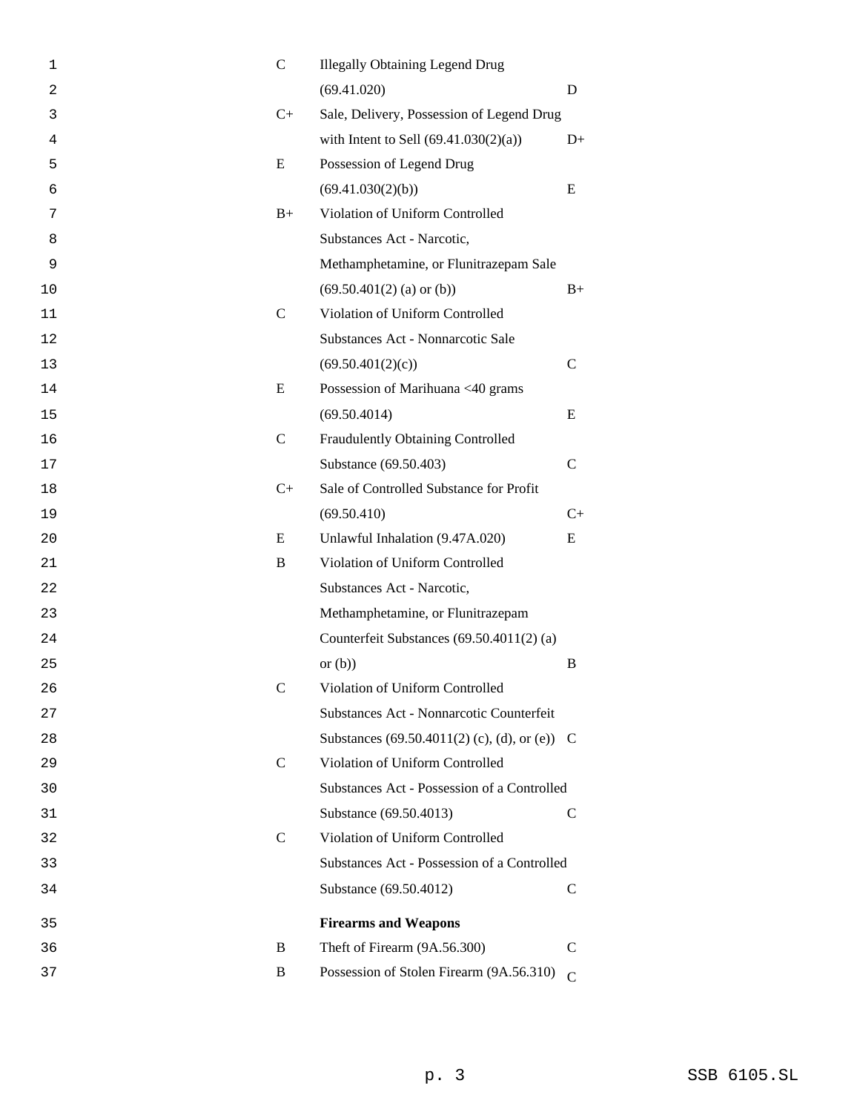| 1  | $\mathsf{C}$  | <b>Illegally Obtaining Legend Drug</b>        |               |
|----|---------------|-----------------------------------------------|---------------|
| 2  |               | (69.41.020)                                   | D             |
| 3  | $C+$          | Sale, Delivery, Possession of Legend Drug     |               |
| 4  |               | with Intent to Sell $(69.41.030(2)(a))$       | $D+$          |
| 5  | E             | Possession of Legend Drug                     |               |
| 6  |               | (69.41.030(2)(b))                             | E             |
| 7  | $B+$          | Violation of Uniform Controlled               |               |
| 8  |               | Substances Act - Narcotic,                    |               |
| 9  |               | Methamphetamine, or Flunitrazepam Sale        |               |
| 10 |               | $(69.50.401(2)$ (a) or (b))                   | $B+$          |
| 11 | $\mathsf{C}$  | Violation of Uniform Controlled               |               |
| 12 |               | Substances Act - Nonnarcotic Sale             |               |
| 13 |               | (69.50.401(2)(c))                             | $\mathsf{C}$  |
| 14 | E             | Possession of Marihuana <40 grams             |               |
| 15 |               | (69.50.4014)                                  | E             |
| 16 | $\mathsf{C}$  | Fraudulently Obtaining Controlled             |               |
| 17 |               | Substance (69.50.403)                         | $\mathcal{C}$ |
| 18 | $C+$          | Sale of Controlled Substance for Profit       |               |
| 19 |               | (69.50.410)                                   | $C+$          |
| 20 | E             | Unlawful Inhalation (9.47A.020)               | E             |
| 21 | B             | Violation of Uniform Controlled               |               |
| 22 |               | Substances Act - Narcotic,                    |               |
| 23 |               | Methamphetamine, or Flunitrazepam             |               |
| 24 |               | Counterfeit Substances (69.50.4011(2) (a)     |               |
| 25 |               | or $(b)$                                      | B             |
| 26 | C             | Violation of Uniform Controlled               |               |
| 27 |               | Substances Act - Nonnarcotic Counterfeit      |               |
| 28 |               | Substances (69.50.4011(2) (c), (d), or (e)) C |               |
| 29 | $\mathcal{C}$ | Violation of Uniform Controlled               |               |
| 30 |               | Substances Act - Possession of a Controlled   |               |
| 31 |               | Substance (69.50.4013)                        | C             |
| 32 | $\mathcal{C}$ | Violation of Uniform Controlled               |               |
| 33 |               | Substances Act - Possession of a Controlled   |               |
| 34 |               | Substance (69.50.4012)                        | $\mathcal{C}$ |
| 35 |               | <b>Firearms and Weapons</b>                   |               |
| 36 | B             | Theft of Firearm (9A.56.300)                  | C             |
| 37 | B             | Possession of Stolen Firearm (9A.56.310)      | $\mathcal{C}$ |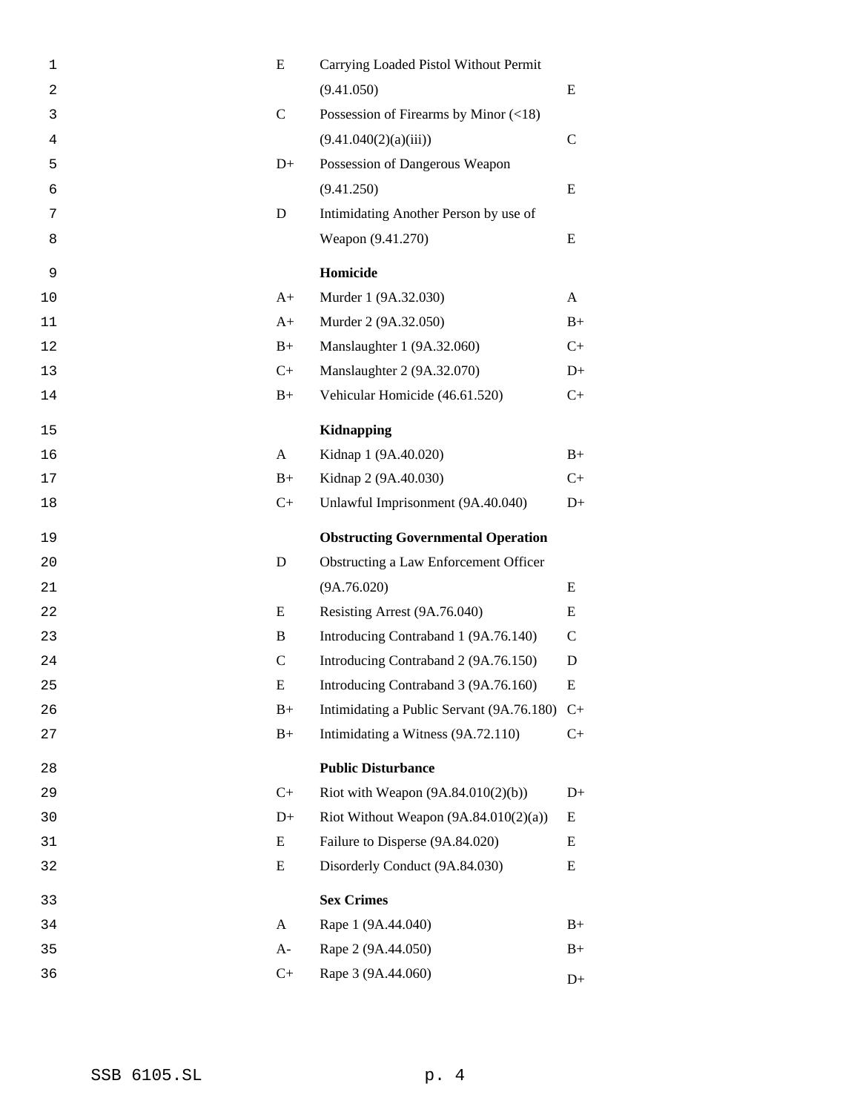| $\mathbf 1$ | E            | Carrying Loaded Pistol Without Permit     |              |
|-------------|--------------|-------------------------------------------|--------------|
| 2           |              | (9.41.050)                                | E            |
| 3           | $\mathbf C$  | Possession of Firearms by Minor (<18)     |              |
| 4           |              | (9.41.040(2)(a)(iii))                     | $\mathsf{C}$ |
| 5           | $D+$         | Possession of Dangerous Weapon            |              |
| 6           |              | (9.41.250)                                | E            |
| 7           | ${\bf D}$    | Intimidating Another Person by use of     |              |
| 8           |              | Weapon (9.41.270)                         | E            |
| 9           |              | Homicide                                  |              |
| 10          | $A+$         | Murder 1 (9A.32.030)                      | A            |
| 11          | $A+$         | Murder 2 (9A.32.050)                      | $B+$         |
| 12          | $B+$         | Manslaughter 1 (9A.32.060)                | $C+$         |
| 13          | $C+$         | Manslaughter 2 (9A.32.070)                | $D+$         |
| 14          | $B+$         | Vehicular Homicide (46.61.520)            | $C+$         |
| 15          |              | <b>Kidnapping</b>                         |              |
| 16          | A            | Kidnap 1 (9A.40.020)                      | $B+$         |
| 17          | $B+$         | Kidnap 2 (9A.40.030)                      | $C+$         |
| 18          | $C+$         | Unlawful Imprisonment (9A.40.040)         | $D+$         |
|             |              |                                           |              |
| 19          |              | <b>Obstructing Governmental Operation</b> |              |
| 20          | D            | Obstructing a Law Enforcement Officer     |              |
| 21          |              | (9A.76.020)                               | E            |
| 22          | E            | Resisting Arrest (9A.76.040)              | E            |
| 23          | B            | Introducing Contraband 1 (9A.76.140)      | $\mathsf{C}$ |
| 24          | $\mathsf{C}$ | Introducing Contraband 2 (9A.76.150)      | D            |
| 25          | E            | Introducing Contraband 3 (9A.76.160)      | ${\bf E}$    |
| 26          | $B+$         | Intimidating a Public Servant (9A.76.180) | $C+$         |
| 27          | $B+$         | Intimidating a Witness (9A.72.110)        | $C+$         |
| 28          |              | <b>Public Disturbance</b>                 |              |
| 29          | $C+$         | Riot with Weapon $(9A.84.010(2)(b))$      | $D+$         |
| 30          | $D+$         | Riot Without Weapon $(9A.84.010(2)(a))$   | E            |
| 31          | E            | Failure to Disperse (9A.84.020)           | E            |
| 32          | E            | Disorderly Conduct (9A.84.030)            | E            |
| 33          |              | <b>Sex Crimes</b>                         |              |
| 34          | A            | Rape 1 (9A.44.040)                        | $B+$         |
| 35          | $A-$         | Rape 2 (9A.44.050)                        | $B+$         |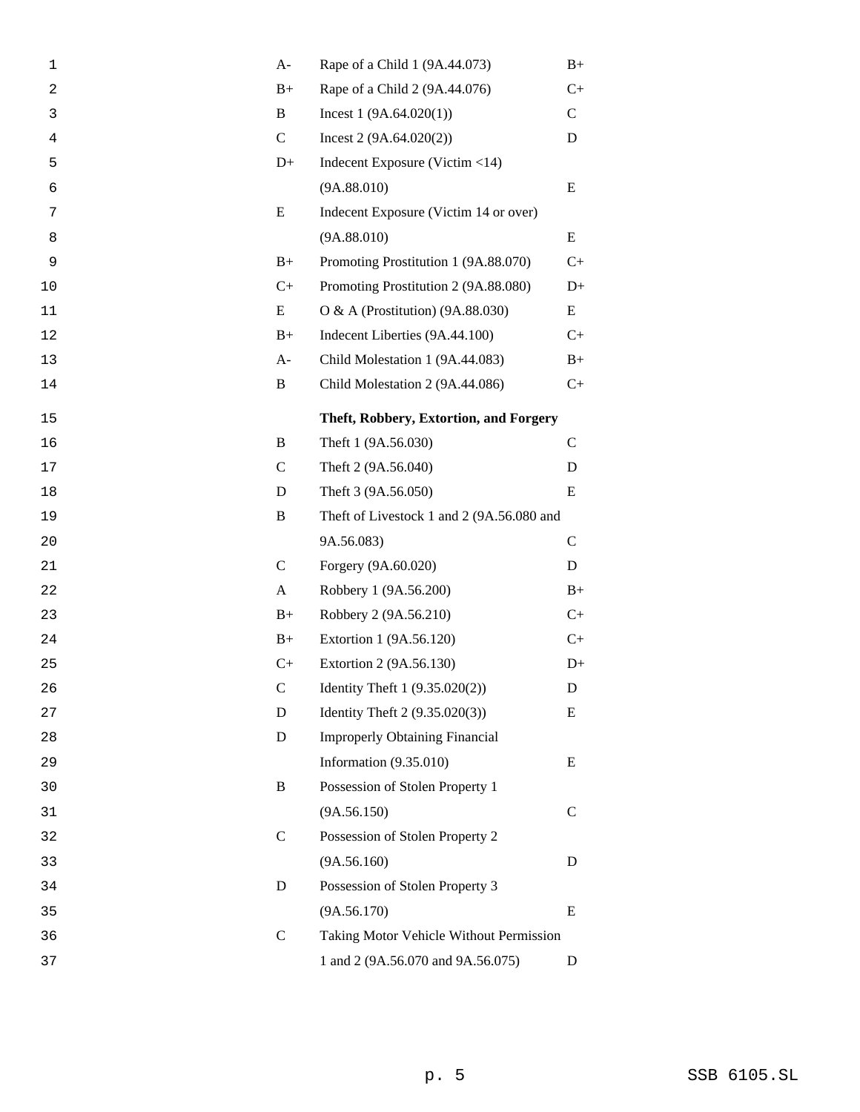| 1  | $A-$        | Rape of a Child 1 (9A.44.073)             | $B+$         |
|----|-------------|-------------------------------------------|--------------|
| 2  | $B+$        | Rape of a Child 2 (9A.44.076)             | $C+$         |
| 3  | B           | Incest $1(9A.64.020(1))$                  | $\mathsf{C}$ |
| 4  | $\mathbf C$ | Incest $2(9A.64.020(2))$                  | D            |
| 5  | $D+$        | Indecent Exposure (Victim $<$ 14)         |              |
| 6  |             | (9A.88.010)                               | E            |
| 7  | E           | Indecent Exposure (Victim 14 or over)     |              |
| 8  |             | (9A.88.010)                               | Ε            |
| 9  | $B+$        | Promoting Prostitution 1 (9A.88.070)      | $C+$         |
| 10 | $C+$        | Promoting Prostitution 2 (9A.88.080)      | $D+$         |
| 11 | E           | O & A (Prostitution) $(9A.88.030)$        | E            |
| 12 | $B+$        | Indecent Liberties (9A.44.100)            | $C+$         |
| 13 | $A-$        | Child Molestation 1 (9A.44.083)           | $B+$         |
| 14 | B           | Child Molestation 2 (9A.44.086)           | $C+$         |
| 15 |             | Theft, Robbery, Extortion, and Forgery    |              |
| 16 | B           | Theft 1 (9A.56.030)                       | $\mathbf C$  |
| 17 | $\mathbf C$ | Theft 2 (9A.56.040)                       | D            |
| 18 | D           | Theft 3 (9A.56.050)                       | E            |
| 19 | B           | Theft of Livestock 1 and 2 (9A.56.080 and |              |
| 20 |             | 9A.56.083)                                | $\mathsf{C}$ |
| 21 | $\mathbf C$ | Forgery (9A.60.020)                       | D            |
| 22 | A           | Robbery 1 (9A.56.200)                     | $B+$         |
| 23 | $B+$        | Robbery 2 (9A.56.210)                     | $C+$         |
| 24 | $B+$        | Extortion 1 (9A.56.120)                   | $C+$         |
| 25 | $C+$        | Extortion 2 (9A.56.130)                   | $D+$         |
| 26 | $\mathsf C$ | Identity Theft 1 (9.35.020(2))            | $\mathbf D$  |
| 27 | D           | Identity Theft $2(9.35.020(3))$           | E            |
| 28 | $\mathbf D$ | <b>Improperly Obtaining Financial</b>     |              |
| 29 |             | Information $(9.35.010)$                  | E            |
| 30 | B           | Possession of Stolen Property 1           |              |
| 31 |             | (9A.56.150)                               | $\mathsf{C}$ |
| 32 | $\mathbf C$ | Possession of Stolen Property 2           |              |
| 33 |             | (9A.56.160)                               | D            |
| 34 | D           | Possession of Stolen Property 3           |              |
| 35 |             | (9A.56.170)                               | Ε            |
| 36 | $\mathbf C$ | Taking Motor Vehicle Without Permission   |              |
| 37 |             | 1 and 2 (9A.56.070 and 9A.56.075)         | D            |
|    |             |                                           |              |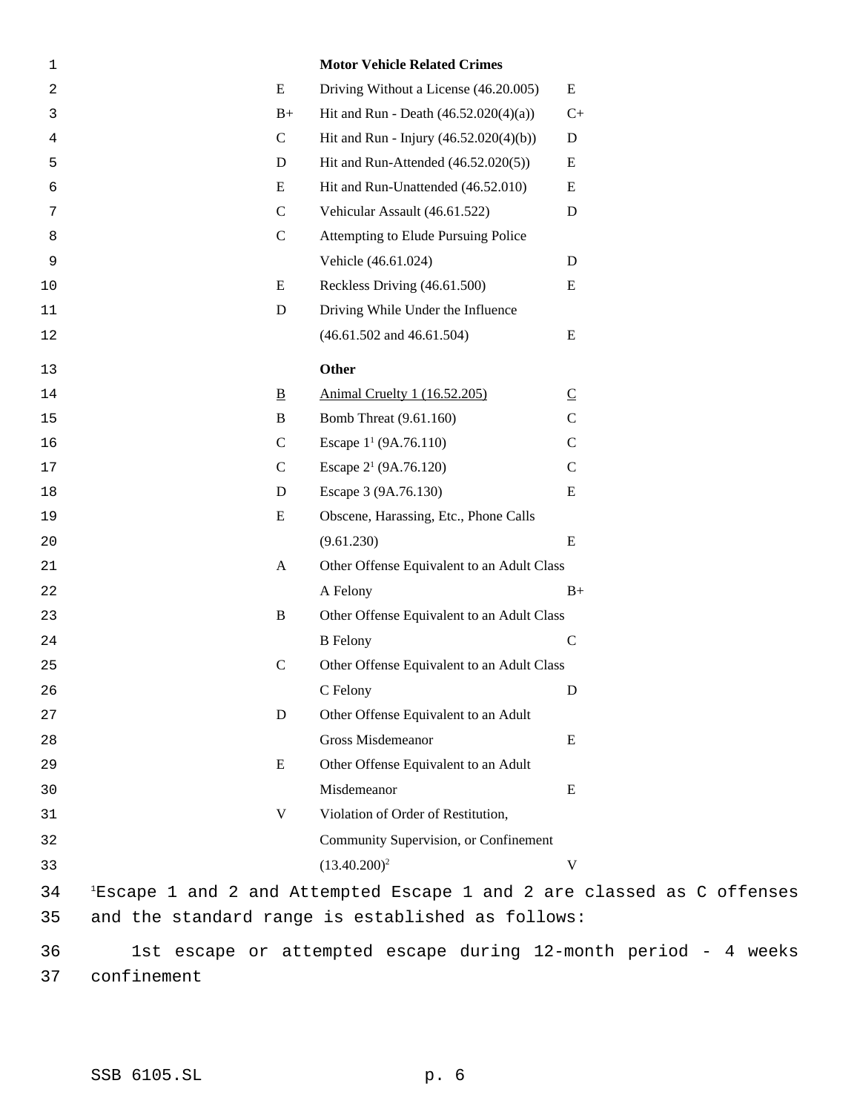| 1              |                          | <b>Motor Vehicle Related Crimes</b>                                                |                          |
|----------------|--------------------------|------------------------------------------------------------------------------------|--------------------------|
| $\overline{c}$ | E                        | Driving Without a License (46.20.005)                                              | E                        |
| 3              | $B+$                     | Hit and Run - Death $(46.52.020(4)(a))$                                            | $C+$                     |
| 4              | $\mathsf{C}$             | Hit and Run - Injury $(46.52.020(4)(b))$                                           | D                        |
| 5              | ${\bf D}$                | Hit and Run-Attended $(46.52.020(5))$                                              | E                        |
| 6              | E                        | Hit and Run-Unattended (46.52.010)                                                 | E                        |
| 7              | $\mathsf{C}$             | Vehicular Assault (46.61.522)                                                      | $\mathbf D$              |
| 8              | $\mathbf C$              | Attempting to Elude Pursuing Police                                                |                          |
| 9              |                          | Vehicle (46.61.024)                                                                | D                        |
| 10             | E                        | Reckless Driving (46.61.500)                                                       | E                        |
| 11             | ${\bf D}$                | Driving While Under the Influence                                                  |                          |
| 12             |                          | $(46.61.502$ and $46.61.504)$                                                      | E                        |
| 13             |                          | <b>Other</b>                                                                       |                          |
| 14             | $\underline{\mathbf{B}}$ | Animal Cruelty 1 (16.52.205)                                                       | $\underline{\mathsf{C}}$ |
| 15             | $\, {\bf B}$             | Bomb Threat (9.61.160)                                                             | $\mathbf C$              |
| 16             | $\mathbf C$              | Escape $1^1$ (9A.76.110)                                                           | $\mathbf C$              |
| 17             | $\mathbf C$              | Escape 2 <sup>1</sup> (9A.76.120)                                                  | $\mathbf C$              |
| 18             | ${\bf D}$                | Escape 3 (9A.76.130)                                                               | E                        |
| 19             | E                        | Obscene, Harassing, Etc., Phone Calls                                              |                          |
| 20             |                          | (9.61.230)                                                                         | ${\bf E}$                |
| 21             | $\mathbf{A}$             | Other Offense Equivalent to an Adult Class                                         |                          |
| 22             |                          | A Felony                                                                           | $B+$                     |
| 23             | $\, {\bf B}$             | Other Offense Equivalent to an Adult Class                                         |                          |
| 24             |                          | <b>B</b> Felony                                                                    | $\mathsf C$              |
| 25             | $\mathbf C$              | Other Offense Equivalent to an Adult Class                                         |                          |
| 26             |                          | C Felony                                                                           | D                        |
| 27             | D                        | Other Offense Equivalent to an Adult                                               |                          |
| 28             |                          | <b>Gross Misdemeanor</b>                                                           | E                        |
| 29             | E                        | Other Offense Equivalent to an Adult                                               |                          |
| 30             |                          | Misdemeanor                                                                        | E                        |
| 31             | $\mathbf V$              | Violation of Order of Restitution,                                                 |                          |
| 32             |                          | Community Supervision, or Confinement                                              |                          |
| 33             |                          | $(13.40.200)^2$                                                                    | V                        |
| 34             |                          | <sup>1</sup> Escape 1 and 2 and Attempted Escape 1 and 2 are classed as C offenses |                          |
| 35             |                          | and the standard range is established as follows:                                  |                          |
| 36             |                          | 1st escape or attempted escape during 12-month period - 4 weeks                    |                          |
|                |                          |                                                                                    |                          |

confinement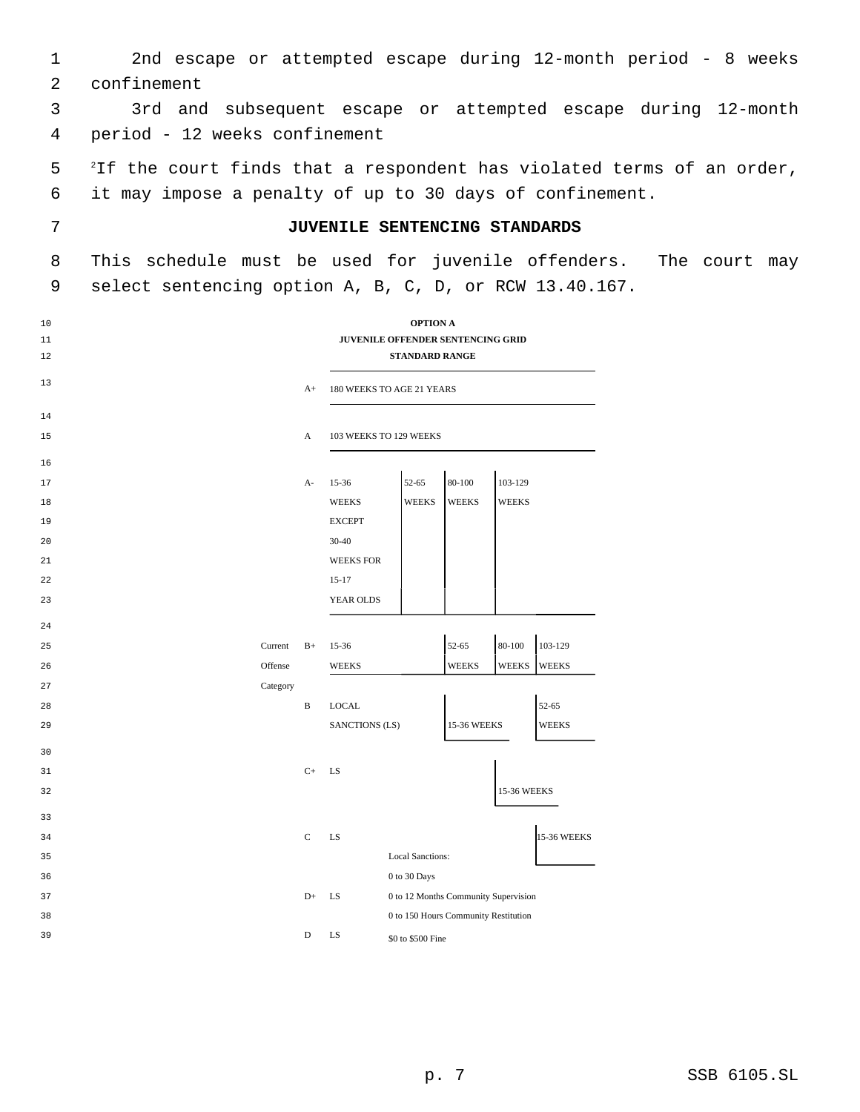|               |  | 2nd escape or attempted escape during 12-month period - 8 weeks |  |  |  |  |
|---------------|--|-----------------------------------------------------------------|--|--|--|--|
| 2 confinement |  |                                                                 |  |  |  |  |

 3rd and subsequent escape or attempted escape during 12-month period - 12 weeks confinement

5 <sup>2</sup>If the court finds that a respondent has violated terms of an order, it may impose a penalty of up to 30 days of confinement.

### **JUVENILE SENTENCING STANDARDS**

 This schedule must be used for juvenile offenders. The court may select sentencing option A, B, C, D, or RCW 13.40.167.

| 10<br>11<br>12 |          |               |                           | <b>OPTION A</b><br>JUVENILE OFFENDER SENTENCING GRID<br><b>STANDARD RANGE</b> |              |              |                    |
|----------------|----------|---------------|---------------------------|-------------------------------------------------------------------------------|--------------|--------------|--------------------|
| 13             |          | $A+$          | 180 WEEKS TO AGE 21 YEARS |                                                                               |              |              |                    |
| 14             |          |               |                           |                                                                               |              |              |                    |
| 15             |          | A             | 103 WEEKS TO 129 WEEKS    |                                                                               |              |              |                    |
| 16             |          |               |                           |                                                                               |              |              |                    |
| 17             |          | $A-$          | $15 - 36$                 | 52-65                                                                         | 80-100       | 103-129      |                    |
| 18             |          |               | <b>WEEKS</b>              | WEEKS                                                                         | <b>WEEKS</b> | <b>WEEKS</b> |                    |
| 19             |          |               | <b>EXCEPT</b>             |                                                                               |              |              |                    |
| 20             |          |               | 30-40                     |                                                                               |              |              |                    |
| 21             |          |               | <b>WEEKS FOR</b>          |                                                                               |              |              |                    |
| 22             |          |               | $15 - 17$                 |                                                                               |              |              |                    |
| 23             |          |               | YEAR OLDS                 |                                                                               |              |              |                    |
| 24             |          |               |                           |                                                                               |              |              |                    |
| 25             | Current  | $B+$          | $15-36$                   |                                                                               | 52-65        | $80 - 100$   | 103-129            |
| 26             | Offense  |               | <b>WEEKS</b>              |                                                                               | <b>WEEKS</b> | <b>WEEKS</b> | <b>WEEKS</b>       |
| 27             | Category |               |                           |                                                                               |              |              |                    |
| 28             |          | $\, {\bf B}$  | <b>LOCAL</b>              |                                                                               |              |              | 52-65              |
| 29             |          |               | SANCTIONS (LS)            |                                                                               | 15-36 WEEKS  |              | <b>WEEKS</b>       |
| 30             |          |               |                           |                                                                               |              |              |                    |
| 31             |          | $C+$          | LS                        |                                                                               |              |              |                    |
| 32             |          |               |                           |                                                                               |              | 15-36 WEEKS  |                    |
| 33             |          |               |                           |                                                                               |              |              |                    |
| 34             |          | $\mathcal{C}$ | LS                        |                                                                               |              |              | <b>15-36 WEEKS</b> |
| 35             |          |               |                           | <b>Local Sanctions:</b>                                                       |              |              |                    |
| 36             |          |               |                           | $0$ to $30~\mathrm{Days}$                                                     |              |              |                    |
| 37             |          | $D+$          | LS                        | 0 to 12 Months Community Supervision                                          |              |              |                    |
| 38             |          |               |                           | 0 to 150 Hours Community Restitution                                          |              |              |                    |
| 39             |          | D             | LS                        | \$0 to \$500 Fine                                                             |              |              |                    |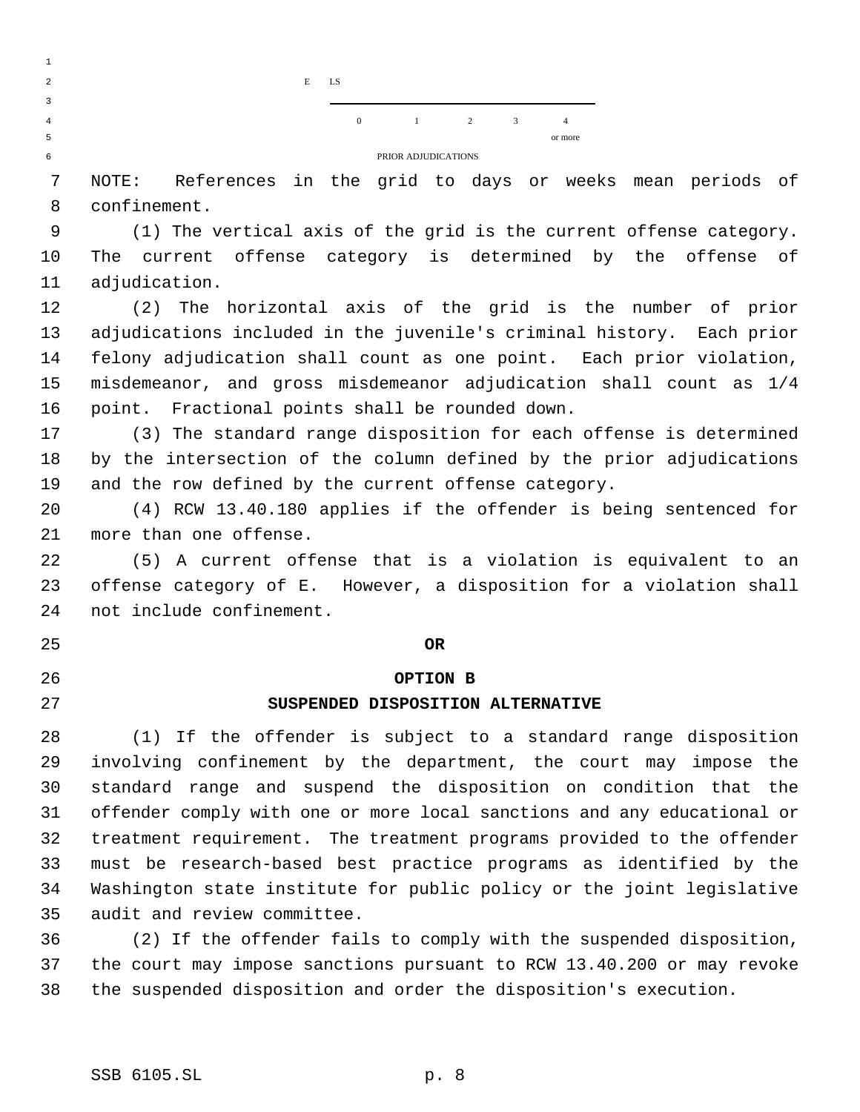

 NOTE: References in the grid to days or weeks mean periods of confinement.

 (1) The vertical axis of the grid is the current offense category. The current offense category is determined by the offense of adjudication.

 (2) The horizontal axis of the grid is the number of prior adjudications included in the juvenile's criminal history. Each prior felony adjudication shall count as one point. Each prior violation, misdemeanor, and gross misdemeanor adjudication shall count as 1/4 point. Fractional points shall be rounded down.

 (3) The standard range disposition for each offense is determined by the intersection of the column defined by the prior adjudications and the row defined by the current offense category.

 (4) RCW 13.40.180 applies if the offender is being sentenced for more than one offense.

 (5) A current offense that is a violation is equivalent to an offense category of E. However, a disposition for a violation shall not include confinement.

### **OR**

 

# **OPTION B**

### **SUSPENDED DISPOSITION ALTERNATIVE**

 (1) If the offender is subject to a standard range disposition involving confinement by the department, the court may impose the standard range and suspend the disposition on condition that the offender comply with one or more local sanctions and any educational or treatment requirement. The treatment programs provided to the offender must be research-based best practice programs as identified by the Washington state institute for public policy or the joint legislative audit and review committee.

 (2) If the offender fails to comply with the suspended disposition, the court may impose sanctions pursuant to RCW 13.40.200 or may revoke the suspended disposition and order the disposition's execution.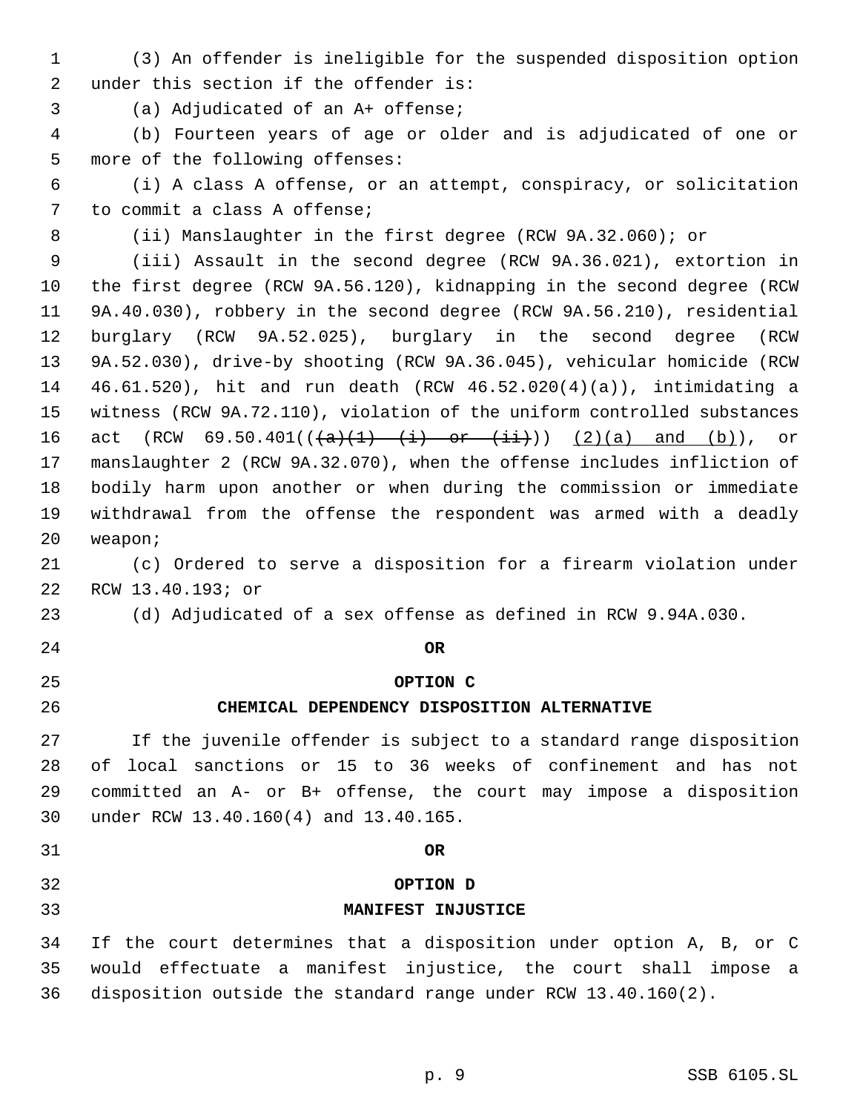- (3) An offender is ineligible for the suspended disposition option under this section if the offender is:
- 
- (a) Adjudicated of an A+ offense;

 (b) Fourteen years of age or older and is adjudicated of one or more of the following offenses:

 (i) A class A offense, or an attempt, conspiracy, or solicitation to commit a class A offense;

(ii) Manslaughter in the first degree (RCW 9A.32.060); or

 (iii) Assault in the second degree (RCW 9A.36.021), extortion in the first degree (RCW 9A.56.120), kidnapping in the second degree (RCW 9A.40.030), robbery in the second degree (RCW 9A.56.210), residential burglary (RCW 9A.52.025), burglary in the second degree (RCW 9A.52.030), drive-by shooting (RCW 9A.36.045), vehicular homicide (RCW 46.61.520), hit and run death (RCW 46.52.020(4)(a)), intimidating a witness (RCW 9A.72.110), violation of the uniform controlled substances 16 act (RCW 69.50.401( $(\frac{a}{t})$  + i) or  $(\frac{1}{t})$ ) (2)(a) and (b)), or manslaughter 2 (RCW 9A.32.070), when the offense includes infliction of bodily harm upon another or when during the commission or immediate withdrawal from the offense the respondent was armed with a deadly weapon;

 (c) Ordered to serve a disposition for a firearm violation under RCW 13.40.193; or

- (d) Adjudicated of a sex offense as defined in RCW 9.94A.030.
- **OR**
- 

### **OPTION C**

### **CHEMICAL DEPENDENCY DISPOSITION ALTERNATIVE**

 If the juvenile offender is subject to a standard range disposition of local sanctions or 15 to 36 weeks of confinement and has not committed an A- or B+ offense, the court may impose a disposition under RCW 13.40.160(4) and 13.40.165.

- **OR**
- **OPTION D**
- 

## **MANIFEST INJUSTICE**

 If the court determines that a disposition under option A, B, or C would effectuate a manifest injustice, the court shall impose a disposition outside the standard range under RCW 13.40.160(2).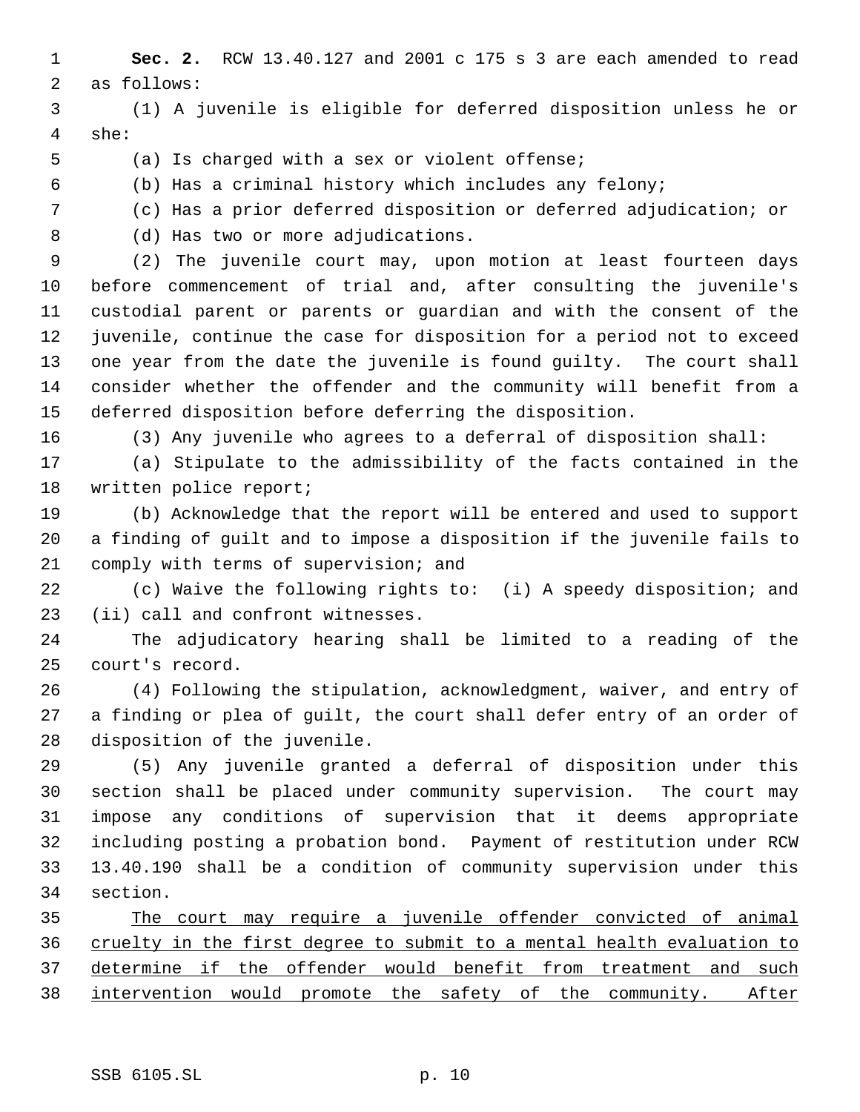- **Sec. 2.** RCW 13.40.127 and 2001 c 175 s 3 are each amended to read as follows:
- (1) A juvenile is eligible for deferred disposition unless he or she:
- 
- (a) Is charged with a sex or violent offense;
- 

(b) Has a criminal history which includes any felony;

- (c) Has a prior deferred disposition or deferred adjudication; or
- 

 (d) Has two or more adjudications. (2) The juvenile court may, upon motion at least fourteen days before commencement of trial and, after consulting the juvenile's custodial parent or parents or guardian and with the consent of the juvenile, continue the case for disposition for a period not to exceed one year from the date the juvenile is found guilty. The court shall

 consider whether the offender and the community will benefit from a deferred disposition before deferring the disposition.

(3) Any juvenile who agrees to a deferral of disposition shall:

 (a) Stipulate to the admissibility of the facts contained in the written police report;

 (b) Acknowledge that the report will be entered and used to support a finding of guilt and to impose a disposition if the juvenile fails to comply with terms of supervision; and

 (c) Waive the following rights to: (i) A speedy disposition; and (ii) call and confront witnesses.

 The adjudicatory hearing shall be limited to a reading of the court's record.

 (4) Following the stipulation, acknowledgment, waiver, and entry of a finding or plea of guilt, the court shall defer entry of an order of disposition of the juvenile.

 (5) Any juvenile granted a deferral of disposition under this section shall be placed under community supervision. The court may impose any conditions of supervision that it deems appropriate including posting a probation bond. Payment of restitution under RCW 13.40.190 shall be a condition of community supervision under this section.

 The court may require a juvenile offender convicted of animal cruelty in the first degree to submit to a mental health evaluation to 37 determine if the offender would benefit from treatment and such intervention would promote the safety of the community. After